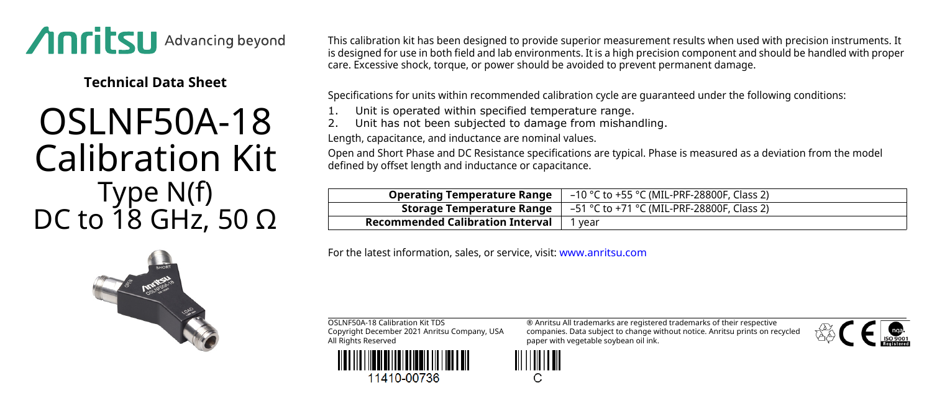

**Technical Data Sheet**

## OSLNF50A-18 Calibration Kit Type N(f) DC to 18 GHz, 50  $\Omega$

This calibration kit has been designed to provide superior measurement results when used with precision instruments. It is designed for use in both field and lab environments. It is a high precision component and should be handled with proper care. Excessive shock, torque, or power should be avoided to prevent permanent damage.

Specifications for units within recommended calibration cycle are guaranteed under the following conditions:

- Unit is operated within specified temperature range.
- Unit has not been subjected to damage from mishandling.

Length, capacitance, and inductance are nominal values.

Open and Short Phase and DC Resistance specifications are typical. Phase is measured as a deviation from the model defined by offset length and inductance or capacitance.

| <b>Operating Temperature Range</b>      | -10 °C to +55 °C (MIL-PRF-28800F, Class 2) |
|-----------------------------------------|--------------------------------------------|
| Storage Temperature Range               | –51 °C to +71 °C (MIL-PRF-28800F, Class 2) |
| <b>Recommended Calibration Interval</b> | ' vear                                     |

For the latest information, sales, or service, visit: [www.anritsu.com](http://www.anritsu.com)





11410-00736

® Anritsu All trademarks are registered trademarks of their respective companies. Data subject to change without notice. Anritsu prints on recycled paper with vegetable soybean oil ink.